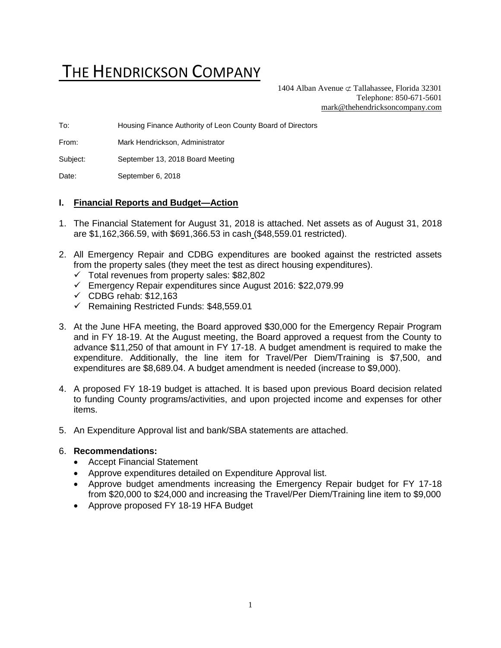# THE HENDRICKSON COMPANY

1404 Alban Avenue  $\subset \text{Tallahasse}$ , Florida 32301 Telephone: 850-671-5601 [mark@thehendricksoncompany.com](mailto:mark@thehendricksoncompany.com)

To: Housing Finance Authority of Leon County Board of Directors

From: Mark Hendrickson, Administrator

Subject: September 13, 2018 Board Meeting

Date: September 6, 2018

#### **I. Financial Reports and Budget—Action**

- 1. The Financial Statement for August 31, 2018 is attached. Net assets as of August 31, 2018 are \$1,162,366.59, with \$691,366.53 in cash (\$48,559.01 restricted).
- 2. All Emergency Repair and CDBG expenditures are booked against the restricted assets from the property sales (they meet the test as direct housing expenditures).
	- ✓ Total revenues from property sales: \$82,802
	- ✓ Emergency Repair expenditures since August 2016: \$22,079.99
	- $\checkmark$  CDBG rehab: \$12,163
	- ✓ Remaining Restricted Funds: \$48,559.01
- 3. At the June HFA meeting, the Board approved \$30,000 for the Emergency Repair Program and in FY 18-19. At the August meeting, the Board approved a request from the County to advance \$11,250 of that amount in FY 17-18. A budget amendment is required to make the expenditure. Additionally, the line item for Travel/Per Diem/Training is \$7,500, and expenditures are \$8,689.04. A budget amendment is needed (increase to \$9,000).
- 4. A proposed FY 18-19 budget is attached. It is based upon previous Board decision related to funding County programs/activities, and upon projected income and expenses for other items.
- 5. An Expenditure Approval list and bank/SBA statements are attached.

#### 6. **Recommendations:**

- Accept Financial Statement
- Approve expenditures detailed on Expenditure Approval list.
- Approve budget amendments increasing the Emergency Repair budget for FY 17-18 from \$20,000 to \$24,000 and increasing the Travel/Per Diem/Training line item to \$9,000
- Approve proposed FY 18-19 HFA Budget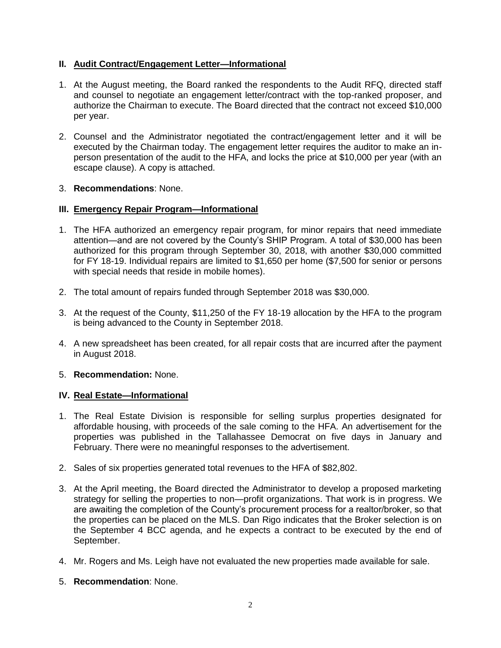## **II. Audit Contract/Engagement Letter—Informational**

- 1. At the August meeting, the Board ranked the respondents to the Audit RFQ, directed staff and counsel to negotiate an engagement letter/contract with the top-ranked proposer, and authorize the Chairman to execute. The Board directed that the contract not exceed \$10,000 per year.
- 2. Counsel and the Administrator negotiated the contract/engagement letter and it will be executed by the Chairman today. The engagement letter requires the auditor to make an inperson presentation of the audit to the HFA, and locks the price at \$10,000 per year (with an escape clause). A copy is attached.

## 3. **Recommendations**: None.

## **III. Emergency Repair Program—Informational**

- 1. The HFA authorized an emergency repair program, for minor repairs that need immediate attention—and are not covered by the County's SHIP Program. A total of \$30,000 has been authorized for this program through September 30, 2018, with another \$30,000 committed for FY 18-19. Individual repairs are limited to \$1,650 per home (\$7,500 for senior or persons with special needs that reside in mobile homes).
- 2. The total amount of repairs funded through September 2018 was \$30,000.
- 3. At the request of the County, \$11,250 of the FY 18-19 allocation by the HFA to the program is being advanced to the County in September 2018.
- 4. A new spreadsheet has been created, for all repair costs that are incurred after the payment in August 2018.

#### 5. **Recommendation:** None.

## **IV. Real Estate—Informational**

- 1. The Real Estate Division is responsible for selling surplus properties designated for affordable housing, with proceeds of the sale coming to the HFA. An advertisement for the properties was published in the Tallahassee Democrat on five days in January and February. There were no meaningful responses to the advertisement.
- 2. Sales of six properties generated total revenues to the HFA of \$82,802.
- 3. At the April meeting, the Board directed the Administrator to develop a proposed marketing strategy for selling the properties to non—profit organizations. That work is in progress. We are awaiting the completion of the County's procurement process for a realtor/broker, so that the properties can be placed on the MLS. Dan Rigo indicates that the Broker selection is on the September 4 BCC agenda, and he expects a contract to be executed by the end of September.
- 4. Mr. Rogers and Ms. Leigh have not evaluated the new properties made available for sale.
- 5. **Recommendation**: None.